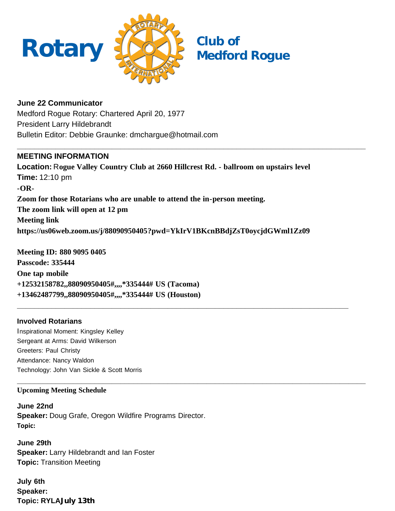

**June 22 Communicator** Medford Rogue Rotary: Chartered April 20, 1977 President Larry Hildebrandt Bulletin Editor: Debbie Graunke: dmchargue@hotmail.com

## **MEETING INFORMATION**

**Location:** R**ogue Valley Country Club at 2660 Hillcrest Rd. - ballroom on upstairs level Time:** 12:10 pm **-OR-Zoom for those Rotarians who are unable to attend the in-person meeting. The zoom link will open at 12 pm Meeting link https://us06web.zoom.us/j/88090950405?pwd=YkIrV1BKcnBBdjZsT0oycjdGWml1Zz09**

**\_\_\_\_\_\_\_\_\_\_\_\_\_\_\_\_\_\_\_\_\_\_\_\_\_\_\_\_\_\_\_\_\_\_\_\_\_\_\_\_\_\_\_\_\_\_\_\_\_\_\_\_\_\_\_\_\_\_\_\_\_\_\_\_\_\_\_\_\_\_\_\_\_\_\_\_\_**

**\_\_\_\_\_\_\_\_\_\_\_\_\_\_\_\_\_\_\_\_\_\_\_\_\_\_\_\_\_\_\_\_\_\_\_\_\_\_\_\_\_\_\_\_\_\_\_\_\_\_\_\_\_\_\_\_\_\_\_\_\_\_\_\_\_\_\_\_\_\_\_\_\_\_\_\_\_\_\_\_\_**

**\_\_\_\_\_\_\_\_\_\_\_\_\_\_\_\_\_\_\_\_\_\_\_\_\_\_\_\_\_\_\_\_\_\_\_\_\_\_\_\_\_\_\_\_\_\_\_\_\_\_\_\_\_\_\_\_\_\_\_\_\_\_\_\_\_\_\_\_\_\_\_\_\_\_\_\_\_\_\_\_\_**

**Meeting ID: 880 9095 0405 Passcode: 335444 One tap mobile +12532158782,,88090950405#,,,,\*335444# US (Tacoma) +13462487799,,88090950405#,,,,\*335444# US (Houston)**

## **Involved Rotarians**

Inspirational Moment: Kingsley Kelley Sergeant at Arms: David Wilkerson Greeters: Paul Christy Attendance: Nancy Waldon Technology: John Van Sickle & Scott Morris

### **Upcoming Meeting Schedule**

**June 22nd Speaker:** Doug Grafe, Oregon Wildfire Programs Director. **Topic:**

**June 29th Speaker:** Larry Hildebrandt and Ian Foster **Topic:** Transition Meeting

**July 6th Speaker: Topic: RYLAJuly 13th**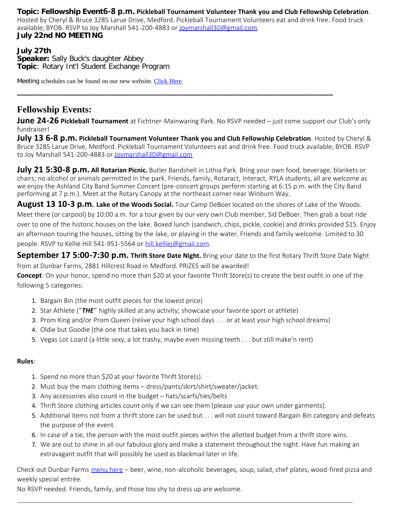**Topic: Fellowship Event6-8 p.m. Pickleball Tournament Volunteer Thank you and Club Fellowship Celebration**.

Hosted by Cheryl & Bruce 3285 Larue Drive, Medford. Pickleball Tournament Volunteers eat and drink free. Food truck available; BYOB. RSVP to Joy Marshall 541-200-4883 or [Joymarshall30@gmail.com](https://www.dacdb.com/Ezbulletin2/Joymarshall30@gmail.com) **July 22nd NO MEETING**

#### **July 27th Speaker:** Sally Buck's daughter Abbey **Topic**: Rotary Int'l Student Exchange Program

Meeting schedules can be found on our new website. [Click Here](https://medfordrogue.org/)

# **Fellowship Events:**

**June 24-26 Pickleball Tournament** at Fichtner-Mainwaring Park. No RSVP needed – just come support our Club's only fundraiser!

**\_\_\_\_\_\_\_\_\_\_\_\_\_\_\_\_\_\_\_\_\_\_\_\_\_\_\_\_\_\_\_\_\_\_\_\_\_\_\_\_\_\_\_\_\_\_\_\_\_\_\_\_\_\_\_\_\_\_\_\_\_\_\_\_\_\_\_\_\_\_\_\_\_\_\_\_\_\_\_\_\_\_**

**July 13 6-8 p.m. Pickleball Tournament Volunteer Thank you and Club Fellowship Celebration**. Hosted by Cheryl & Bruce 3285 Larue Drive, Medford. Pickleball Tournament Volunteers eat and drink free. Food truck available; BYOB. RSVP to Joy Marshall 541-200-4883 or [Joymarshall30@gmail.com](https://www.dacdb.com/Ezbulletin2/Joymarshall30@gmail.com)

**July 21 5:30-8 p.m. All Rotarian Picnic.** Butler Bandshell in Lithia Park. Bring your own food, beverage, blankets or chairs; no alcohol or animals permitted in the park. Friends, family, Rotaract, Interact, RYLA students, all are welcome as we enjoy the Ashland City Band Summer Concert (pre-concert groups perform starting at 6:15 p.m. with the City Band performing at 7 p.m.). Meet at the Rotary Canopy at the northeast corner near Winburn Way.

**August 13 10-3 p.m. Lake of the Woods Social.** Tour Camp DeBoer located on the shores of Lake of the Woods. Meet there (or carpool) by 10:00 a.m. for a tour given by our very own Club member, Sid DeBoer. Then grab a boat ride over to one of the historic houses on the lake. Boxed lunch (sandwich, chips, pickle, cookie) and drinks provided \$15. Enjoy an afternoon touring the houses, sitting by the lake, or playing in the water. Friends and family welcome. Limited to 30 people. RSVP to Kellie Hill 541-951-5564 or [hill.kelliej@gmail.com](mailto:hill.kelliej@gmail.com).

**September 17 5:00-7:30 p.m. Thrift Store Date Night.** Bring your date to the first Rotary Thrift Store Date Night from at Dunbar Farms, 2881 Hillcrest Road in Medford. PRIZES will be awarded!

**Concept**: On your honor, spend no more than \$20 at your favorite Thrift Store(s) to create the best outfit in one of the following 5 categories:

- 1. Bargain Bin (the most outfit pieces for the lowest price)
- 2. Star Athlete ("*THE*" highly skilled at any activity; showcase your favorite sport or athlete)
- 3. Prom King and/or Prom Queen (relive your high school days . . . or at least your high school dreams)
- 4. Oldie but Goodie (the one that takes you back in time)
- 5. Vegas Lot Lizard (a little sexy, a lot trashy, maybe even missing teeth . . . but still make'n rent)

### **Rules**:

- 1. Spend no more than \$20 at your favorite Thrift Store(s).
- 2. Must buy the main clothing items dress/pants/skirt/shirt/sweater/jacket.
- 3. Any accessories also count in the budget hats/scarfs/ties/belts
- 4. Thrift Store clothing articles count only if we can see them (please use your own under garments).
- 5. Additional items not from a thrift store can be used but . . . will not count toward Bargain Bin category and defeats the purpose of the event.
- 6. In case of a tie, the person with the most outfit pieces within the allotted budget from a thrift store wins.
- 7. We are out to shine in all our fabulous glory and make a statement throughout the night. Have fun making an extravagant outfit that will possibly be used as blackmail later in life.

Check out Dunbar Farms [menu here](mailto:https://www.dunbarfarms.com/menu) – beer, wine, non-alcoholic beverages, soup, salad, chef plates, wood-fired pizza and weekly special entrée.

**\_\_\_\_\_\_\_\_\_\_\_\_\_\_\_\_\_\_\_\_\_\_\_\_\_\_\_\_\_\_\_\_\_\_\_\_\_\_\_\_\_\_\_\_\_\_\_\_\_\_\_\_\_\_\_\_\_\_\_\_\_\_\_\_\_\_\_\_\_\_\_\_\_\_\_\_\_\_**

No RSVP needed. Friends, family, and those too shy to dress up are welcome.